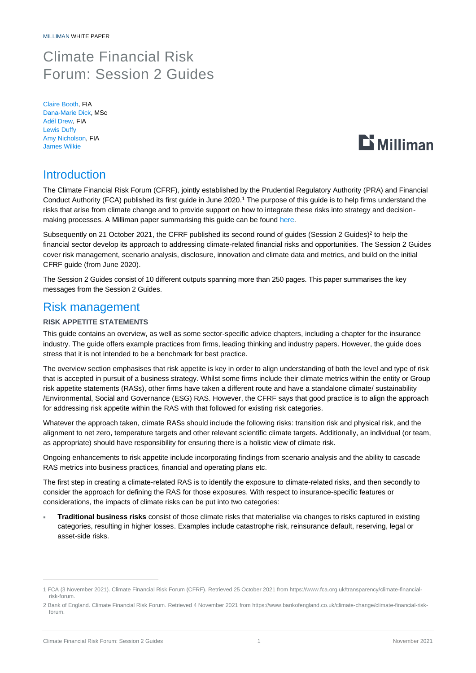# Climate Financial Risk Forum: Session 2 Guides

Claire Booth, FIA Dana-Marie Dick, MSc Adél Drew, FIA Lewis Duffy Amy Nicholson, FIA James Wilkie



# **Introduction**

The Climate Financial Risk Forum (CFRF), jointly established by the Prudential Regulatory Authority (PRA) and Financial Conduct Authority (FCA) published its first guide in June 2020. <sup>1</sup> The purpose of this guide is to help firms understand the risks that arise from climate change and to provide support on how to integrate these risks into strategy and decisionmaking processes. A Milliman paper summarising this guide can be found [here.](https://us.milliman.com/-/media/milliman/pdfs/articles/cfrf-guide-summary.ashx)

Subsequently on 21 October 2021, the CFRF published its second round of guides (Session 2 Guides)<sup>2</sup> to help the financial sector develop its approach to addressing climate-related financial risks and opportunities. The Session 2 Guides cover risk management, scenario analysis, disclosure, innovation and climate data and metrics, and build on the initial CFRF guide (from June 2020).

The Session 2 Guides consist of 10 different outputs spanning more than 250 pages. This paper summarises the key messages from the Session 2 Guides.

# Risk management

# **RISK APPETITE STATEMENTS**

This guide contains an overview, as well as some sector-specific advice chapters, including a chapter for the insurance industry. The guide offers example practices from firms, leading thinking and industry papers. However, the guide does stress that it is not intended to be a benchmark for best practice.

The overview section emphasises that risk appetite is key in order to align understanding of both the level and type of risk that is accepted in pursuit of a business strategy. Whilst some firms include their climate metrics within the entity or Group risk appetite statements (RASs), other firms have taken a different route and have a standalone climate/ sustainability /Environmental, Social and Governance (ESG) RAS. However, the CFRF says that good practice is to align the approach for addressing risk appetite within the RAS with that followed for existing risk categories.

Whatever the approach taken, climate RASs should include the following risks: transition risk and physical risk, and the alignment to net zero, temperature targets and other relevant scientific climate targets. Additionally, an individual (or team, as appropriate) should have responsibility for ensuring there is a holistic view of climate risk.

Ongoing enhancements to risk appetite include incorporating findings from scenario analysis and the ability to cascade RAS metrics into business practices, financial and operating plans etc.

The first step in creating a climate-related RAS is to identify the exposure to climate-related risks, and then secondly to consider the approach for defining the RAS for those exposures. With respect to insurance-specific features or considerations, the impacts of climate risks can be put into two categories:

 **Traditional business risks** consist of those climate risks that materialise via changes to risks captured in existing categories, resulting in higher losses. Examples include catastrophe risk, reinsurance default, reserving, legal or asset-side risks.

<sup>1</sup> FCA (3 November 2021). Climate Financial Risk Forum (CFRF). Retrieved 25 October 2021 from https://www.fca.org.uk/transparency/climate-financialrisk-forum.

<sup>2</sup> Bank of England. Climate Financial Risk Forum. Retrieved 4 November 2021 from https://www.bankofengland.co.uk/climate-change/climate-financial-riskforum.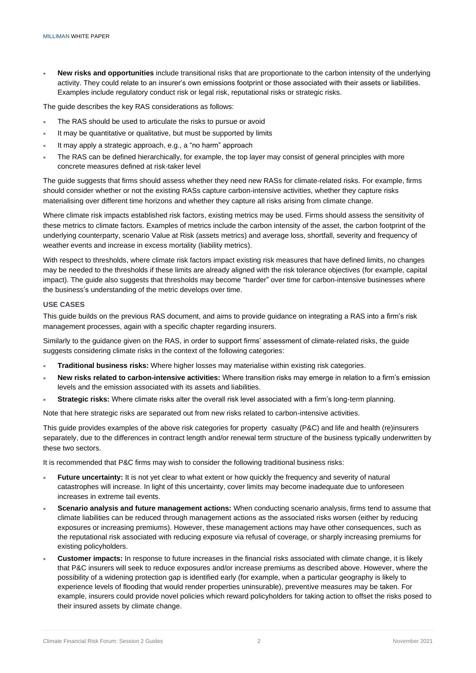**New risks and opportunities** include transitional risks that are proportionate to the carbon intensity of the underlying activity. They could relate to an insurer's own emissions footprint or those associated with their assets or liabilities. Examples include regulatory conduct risk or legal risk, reputational risks or strategic risks.

The guide describes the key RAS considerations as follows:

- The RAS should be used to articulate the risks to pursue or avoid
- It may be quantitative or qualitative, but must be supported by limits
- It may apply a strategic approach, e.g., a "no harm" approach
- The RAS can be defined hierarchically, for example, the top layer may consist of general principles with more concrete measures defined at risk-taker level

The guide suggests that firms should assess whether they need new RASs for climate-related risks. For example, firms should consider whether or not the existing RASs capture carbon-intensive activities, whether they capture risks materialising over different time horizons and whether they capture all risks arising from climate change.

Where climate risk impacts established risk factors, existing metrics may be used. Firms should assess the sensitivity of these metrics to climate factors. Examples of metrics include the carbon intensity of the asset, the carbon footprint of the underlying counterparty, scenario Value at Risk (assets metrics) and average loss, shortfall, severity and frequency of weather events and increase in excess mortality (liability metrics).

With respect to thresholds, where climate risk factors impact existing risk measures that have defined limits, no changes may be needed to the thresholds if these limits are already aligned with the risk tolerance objectives (for example, capital impact). The guide also suggests that thresholds may become "harder" over time for carbon-intensive businesses where the business's understanding of the metric develops over time.

### **USE CASES**

This guide builds on the previous RAS document, and aims to provide guidance on integrating a RAS into a firm's risk management processes, again with a specific chapter regarding insurers.

Similarly to the guidance given on the RAS, in order to support firms' assessment of climate-related risks, the guide suggests considering climate risks in the context of the following categories:

- **Traditional business risks:** Where higher losses may materialise within existing risk categories.
- **New risks related to carbon-intensive activities:** Where transition risks may emerge in relation to a firm's emission levels and the emission associated with its assets and liabilities.
- **Strategic risks:** Where climate risks alter the overall risk level associated with a firm's long-term planning.

Note that here strategic risks are separated out from new risks related to carbon-intensive activities.

This guide provides examples of the above risk categories for property casualty (P&C) and life and health (re)insurers separately, due to the differences in contract length and/or renewal term structure of the business typically underwritten by these two sectors.

It is recommended that P&C firms may wish to consider the following traditional business risks:

- **Future uncertainty:** It is not yet clear to what extent or how quickly the frequency and severity of natural catastrophes will increase. In light of this uncertainty, cover limits may become inadequate due to unforeseen increases in extreme tail events.
- **Scenario analysis and future management actions:** When conducting scenario analysis, firms tend to assume that climate liabilities can be reduced through management actions as the associated risks worsen (either by reducing exposures or increasing premiums). However, these management actions may have other consequences, such as the reputational risk associated with reducing exposure via refusal of coverage, or sharply increasing premiums for existing policyholders.
- **Customer impacts:** In response to future increases in the financial risks associated with climate change, it is likely that P&C insurers will seek to reduce exposures and/or increase premiums as described above. However, where the possibility of a widening protection gap is identified early (for example, when a particular geography is likely to experience levels of flooding that would render properties uninsurable), preventive measures may be taken. For example, insurers could provide novel policies which reward policyholders for taking action to offset the risks posed to their insured assets by climate change.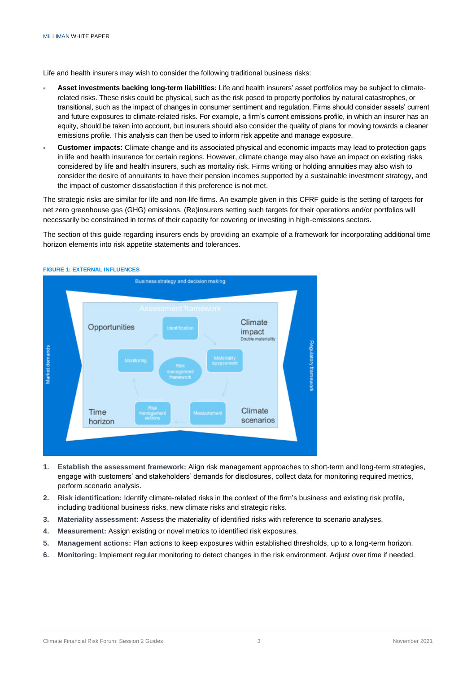Life and health insurers may wish to consider the following traditional business risks:

- **Asset investments backing long-term liabilities:** Life and health insurers' asset portfolios may be subject to climaterelated risks. These risks could be physical, such as the risk posed to property portfolios by natural catastrophes, or transitional, such as the impact of changes in consumer sentiment and regulation. Firms should consider assets' current and future exposures to climate-related risks. For example, a firm's current emissions profile, in which an insurer has an equity, should be taken into account, but insurers should also consider the quality of plans for moving towards a cleaner emissions profile. This analysis can then be used to inform risk appetite and manage exposure.
- **Customer impacts:** Climate change and its associated physical and economic impacts may lead to protection gaps in life and health insurance for certain regions. However, climate change may also have an impact on existing risks considered by life and health insurers, such as mortality risk. Firms writing or holding annuities may also wish to consider the desire of annuitants to have their pension incomes supported by a sustainable investment strategy, and the impact of customer dissatisfaction if this preference is not met.

The strategic risks are similar for life and non-life firms. An example given in this CFRF guide is the setting of targets for net zero greenhouse gas (GHG) emissions. (Re)insurers setting such targets for their operations and/or portfolios will necessarily be constrained in terms of their capacity for covering or investing in high-emissions sectors.

The section of this guide regarding insurers ends by providing an example of a framework for incorporating additional time horizon elements into risk appetite statements and tolerances.



#### **FIGURE 1: EXTERNAL INFLUENCES**

- **1. Establish the assessment framework:** Align risk management approaches to short-term and long-term strategies, engage with customers' and stakeholders' demands for disclosures, collect data for monitoring required metrics, perform scenario analysis.
- **2. Risk identification:** Identify climate-related risks in the context of the firm's business and existing risk profile, including traditional business risks, new climate risks and strategic risks.
- **3. Materiality assessment:** Assess the materiality of identified risks with reference to scenario analyses.
- **4. Measurement:** Assign existing or novel metrics to identified risk exposures.
- **5. Management actions:** Plan actions to keep exposures within established thresholds, up to a long-term horizon.
- **6. Monitoring:** Implement regular monitoring to detect changes in the risk environment. Adjust over time if needed.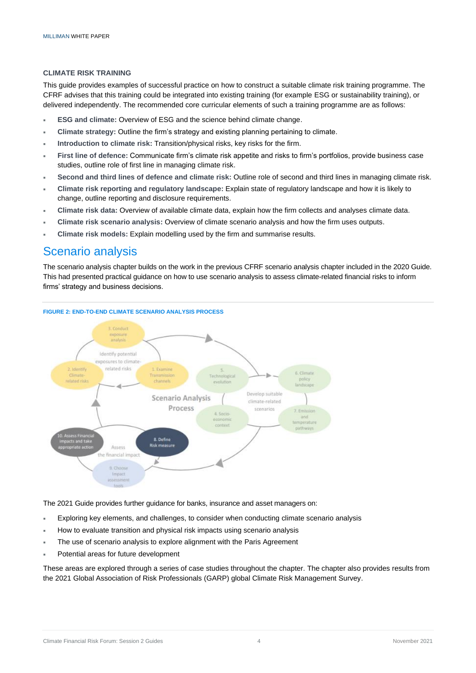### **CLIMATE RISK TRAINING**

This guide provides examples of successful practice on how to construct a suitable climate risk training programme. The CFRF advises that this training could be integrated into existing training (for example ESG or sustainability training), or delivered independently. The recommended core curricular elements of such a training programme are as follows:

- **ESG and climate:** Overview of ESG and the science behind climate change.
- **Climate strategy:** Outline the firm's strategy and existing planning pertaining to climate.
- **Introduction to climate risk:** Transition/physical risks, key risks for the firm.
- **First line of defence:** Communicate firm's climate risk appetite and risks to firm's portfolios, provide business case studies, outline role of first line in managing climate risk.
- **Second and third lines of defence and climate risk:** Outline role of second and third lines in managing climate risk.
- **Climate risk reporting and regulatory landscape:** Explain state of regulatory landscape and how it is likely to change, outline reporting and disclosure requirements.
- **Climate risk data:** Overview of available climate data, explain how the firm collects and analyses climate data.
- **Climate risk scenario analysis:** Overview of climate scenario analysis and how the firm uses outputs.
- **Climate risk models:** Explain modelling used by the firm and summarise results.

# Scenario analysis

The scenario analysis chapter builds on the work in the previous CFRF scenario analysis chapter included in the 2020 Guide. This had presented practical guidance on how to use scenario analysis to assess climate-related financial risks to inform firms' strategy and business decisions.



The 2021 Guide provides further guidance for banks, insurance and asset managers on:

- Exploring key elements, and challenges, to consider when conducting climate scenario analysis
- How to evaluate transition and physical risk impacts using scenario analysis
- The use of scenario analysis to explore alignment with the Paris Agreement
- Potential areas for future development

These areas are explored through a series of case studies throughout the chapter. The chapter also provides results from the 2021 Global Association of Risk Professionals (GARP) global Climate Risk Management Survey.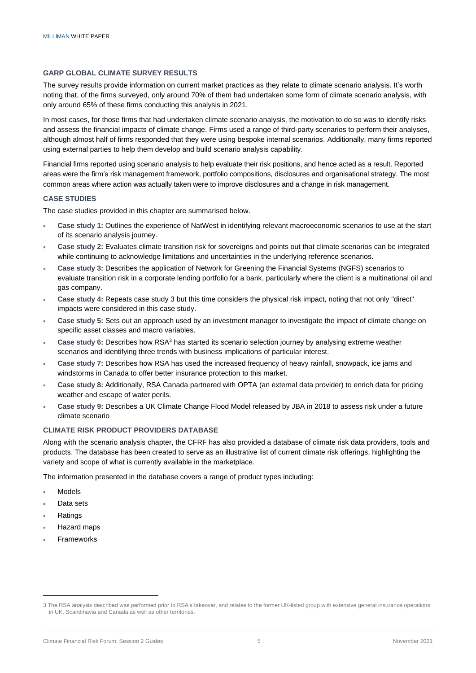# **GARP GLOBAL CLIMATE SURVEY RESULTS**

The survey results provide information on current market practices as they relate to climate scenario analysis. It's worth noting that, of the firms surveyed, only around 70% of them had undertaken some form of climate scenario analysis, with only around 65% of these firms conducting this analysis in 2021.

In most cases, for those firms that had undertaken climate scenario analysis, the motivation to do so was to identify risks and assess the financial impacts of climate change. Firms used a range of third-party scenarios to perform their analyses, although almost half of firms responded that they were using bespoke internal scenarios. Additionally, many firms reported using external parties to help them develop and build scenario analysis capability.

Financial firms reported using scenario analysis to help evaluate their risk positions, and hence acted as a result. Reported areas were the firm's risk management framework, portfolio compositions, disclosures and organisational strategy. The most common areas where action was actually taken were to improve disclosures and a change in risk management.

# **CASE STUDIES**

The case studies provided in this chapter are summarised below.

- **Case study 1:** Outlines the experience of NatWest in identifying relevant macroeconomic scenarios to use at the start of its scenario analysis journey.
- **Case study 2:** Evaluates climate transition risk for sovereigns and points out that climate scenarios can be integrated while continuing to acknowledge limitations and uncertainties in the underlying reference scenarios.
- **Case study 3:** Describes the application of Network for Greening the Financial Systems (NGFS) scenarios to evaluate transition risk in a corporate lending portfolio for a bank, particularly where the client is a multinational oil and gas company.
- **Case study 4:** Repeats case study 3 but this time considers the physical risk impact, noting that not only "direct" impacts were considered in this case study.
- **Case study 5:** Sets out an approach used by an investment manager to investigate the impact of climate change on specific asset classes and macro variables.
- **Case study 6:** Describes how RSA<sup>3</sup> has started its scenario selection journey by analysing extreme weather scenarios and identifying three trends with business implications of particular interest.
- **Case study 7:** Describes how RSA has used the increased frequency of heavy rainfall, snowpack, ice jams and windstorms in Canada to offer better insurance protection to this market.
- **Case study 8:** Additionally, RSA Canada partnered with OPTA (an external data provider) to enrich data for pricing weather and escape of water perils.
- **Case study 9:** Describes a UK Climate Change Flood Model released by JBA in 2018 to assess risk under a future climate scenario

# **CLIMATE RISK PRODUCT PROVIDERS DATABASE**

Along with the scenario analysis chapter, the CFRF has also provided a database of climate risk data providers, tools and products. The database has been created to serve as an illustrative list of current climate risk offerings, highlighting the variety and scope of what is currently available in the marketplace.

The information presented in the database covers a range of product types including:

- Models
- Data sets
- Ratings
- Hazard maps
- Frameworks

<sup>3</sup> The RSA analysis described was performed prior to RSA's takeover, and relates to the former UK-listed group with extensive general insurance operations in UK, Scandinavia and Canada as well as other territories.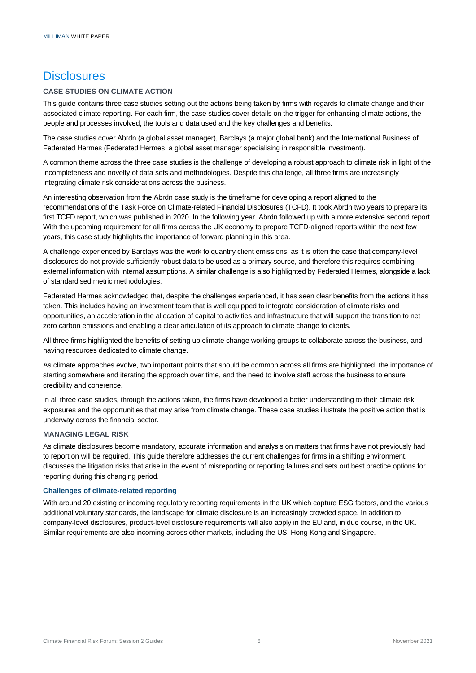# **Disclosures**

# **CASE STUDIES ON CLIMATE ACTION**

This guide contains three case studies setting out the actions being taken by firms with regards to climate change and their associated climate reporting. For each firm, the case studies cover details on the trigger for enhancing climate actions, the people and processes involved, the tools and data used and the key challenges and benefits.

The case studies cover Abrdn (a global asset manager), Barclays (a major global bank) and the International Business of Federated Hermes (Federated Hermes, a global asset manager specialising in responsible investment).

A common theme across the three case studies is the challenge of developing a robust approach to climate risk in light of the incompleteness and novelty of data sets and methodologies. Despite this challenge, all three firms are increasingly integrating climate risk considerations across the business.

An interesting observation from the Abrdn case study is the timeframe for developing a report aligned to the recommendations of the Task Force on Climate-related Financial Disclosures (TCFD). It took Abrdn two years to prepare its first TCFD report, which was published in 2020. In the following year, Abrdn followed up with a more extensive second report. With the upcoming requirement for all firms across the UK economy to prepare TCFD-aligned reports within the next few years, this case study highlights the importance of forward planning in this area.

A challenge experienced by Barclays was the work to quantify client emissions, as it is often the case that company-level disclosures do not provide sufficiently robust data to be used as a primary source, and therefore this requires combining external information with internal assumptions. A similar challenge is also highlighted by Federated Hermes, alongside a lack of standardised metric methodologies.

Federated Hermes acknowledged that, despite the challenges experienced, it has seen clear benefits from the actions it has taken. This includes having an investment team that is well equipped to integrate consideration of climate risks and opportunities, an acceleration in the allocation of capital to activities and infrastructure that will support the transition to net zero carbon emissions and enabling a clear articulation of its approach to climate change to clients.

All three firms highlighted the benefits of setting up climate change working groups to collaborate across the business, and having resources dedicated to climate change.

As climate approaches evolve, two important points that should be common across all firms are highlighted: the importance of starting somewhere and iterating the approach over time, and the need to involve staff across the business to ensure credibility and coherence.

In all three case studies, through the actions taken, the firms have developed a better understanding to their climate risk exposures and the opportunities that may arise from climate change. These case studies illustrate the positive action that is underway across the financial sector.

# **MANAGING LEGAL RISK**

As climate disclosures become mandatory, accurate information and analysis on matters that firms have not previously had to report on will be required. This guide therefore addresses the current challenges for firms in a shifting environment, discusses the litigation risks that arise in the event of misreporting or reporting failures and sets out best practice options for reporting during this changing period.

# **Challenges of climate-related reporting**

With around 20 existing or incoming regulatory reporting requirements in the UK which capture ESG factors, and the various additional voluntary standards, the landscape for climate disclosure is an increasingly crowded space. In addition to company-level disclosures, product-level disclosure requirements will also apply in the EU and, in due course, in the UK. Similar requirements are also incoming across other markets, including the US, Hong Kong and Singapore.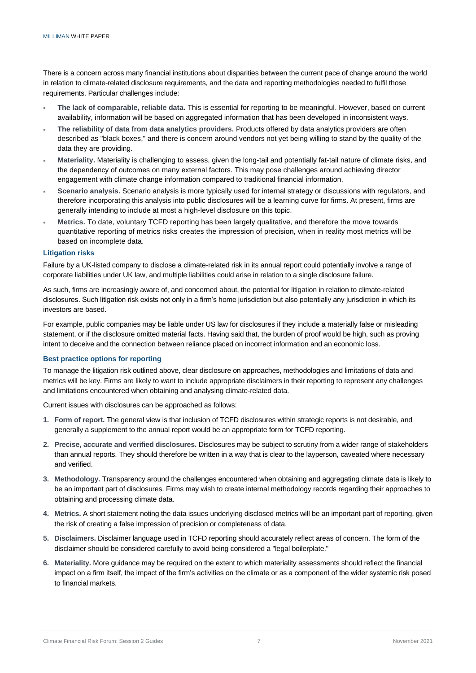There is a concern across many financial institutions about disparities between the current pace of change around the world in relation to climate-related disclosure requirements, and the data and reporting methodologies needed to fulfil those requirements. Particular challenges include:

- **The lack of comparable, reliable data.** This is essential for reporting to be meaningful. However, based on current availability, information will be based on aggregated information that has been developed in inconsistent ways.
- **The reliability of data from data analytics providers.** Products offered by data analytics providers are often described as "black boxes," and there is concern around vendors not yet being willing to stand by the quality of the data they are providing.
- **Materiality.** Materiality is challenging to assess, given the long-tail and potentially fat-tail nature of climate risks, and the dependency of outcomes on many external factors. This may pose challenges around achieving director engagement with climate change information compared to traditional financial information.
- **Scenario analysis.** Scenario analysis is more typically used for internal strategy or discussions with regulators, and therefore incorporating this analysis into public disclosures will be a learning curve for firms. At present, firms are generally intending to include at most a high-level disclosure on this topic.
- **Metrics.** To date, voluntary TCFD reporting has been largely qualitative, and therefore the move towards quantitative reporting of metrics risks creates the impression of precision, when in reality most metrics will be based on incomplete data.

# **Litigation risks**

Failure by a UK-listed company to disclose a climate-related risk in its annual report could potentially involve a range of corporate liabilities under UK law, and multiple liabilities could arise in relation to a single disclosure failure.

As such, firms are increasingly aware of, and concerned about, the potential for litigation in relation to climate-related disclosures. Such litigation risk exists not only in a firm's home jurisdiction but also potentially any jurisdiction in which its investors are based.

For example, public companies may be liable under US law for disclosures if they include a materially false or misleading statement, or if the disclosure omitted material facts. Having said that, the burden of proof would be high, such as proving intent to deceive and the connection between reliance placed on incorrect information and an economic loss.

# **Best practice options for reporting**

To manage the litigation risk outlined above, clear disclosure on approaches, methodologies and limitations of data and metrics will be key. Firms are likely to want to include appropriate disclaimers in their reporting to represent any challenges and limitations encountered when obtaining and analysing climate-related data.

Current issues with disclosures can be approached as follows:

- **1. Form of report.** The general view is that inclusion of TCFD disclosures within strategic reports is not desirable, and generally a supplement to the annual report would be an appropriate form for TCFD reporting.
- **2. Precise, accurate and verified disclosures.** Disclosures may be subject to scrutiny from a wider range of stakeholders than annual reports. They should therefore be written in a way that is clear to the layperson, caveated where necessary and verified.
- **3. Methodology.** Transparency around the challenges encountered when obtaining and aggregating climate data is likely to be an important part of disclosures. Firms may wish to create internal methodology records regarding their approaches to obtaining and processing climate data.
- **4. Metrics.** A short statement noting the data issues underlying disclosed metrics will be an important part of reporting, given the risk of creating a false impression of precision or completeness of data.
- **5. Disclaimers.** Disclaimer language used in TCFD reporting should accurately reflect areas of concern. The form of the disclaimer should be considered carefully to avoid being considered a "legal boilerplate."
- **6. Materiality.** More guidance may be required on the extent to which materiality assessments should reflect the financial impact on a firm itself, the impact of the firm's activities on the climate or as a component of the wider systemic risk posed to financial markets.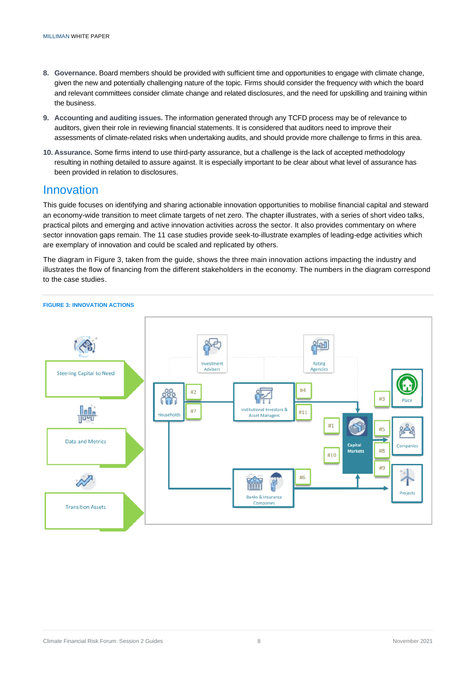- **8. Governance.** Board members should be provided with sufficient time and opportunities to engage with climate change, given the new and potentially challenging nature of the topic. Firms should consider the frequency with which the board and relevant committees consider climate change and related disclosures, and the need for upskilling and training within the business.
- **9. Accounting and auditing issues.** The information generated through any TCFD process may be of relevance to auditors, given their role in reviewing financial statements. It is considered that auditors need to improve their assessments of climate-related risks when undertaking audits, and should provide more challenge to firms in this area.
- **10. Assurance.** Some firms intend to use third-party assurance, but a challenge is the lack of accepted methodology resulting in nothing detailed to assure against. It is especially important to be clear about what level of assurance has been provided in relation to disclosures.

# Innovation

This guide focuses on identifying and sharing actionable innovation opportunities to mobilise financial capital and steward an economy-wide transition to meet climate targets of net zero. The chapter illustrates, with a series of short video talks, practical pilots and emerging and active innovation activities across the sector. It also provides commentary on where sector innovation gaps remain. The 11 case studies provide seek-to-illustrate examples of leading-edge activities which are exemplary of innovation and could be scaled and replicated by others.

The diagram in Figure 3, taken from the guide, shows the three main innovation actions impacting the industry and illustrates the flow of financing from the different stakeholders in the economy. The numbers in the diagram correspond to the case studies.



#### **FIGURE 3: INNOVATION ACTIONS**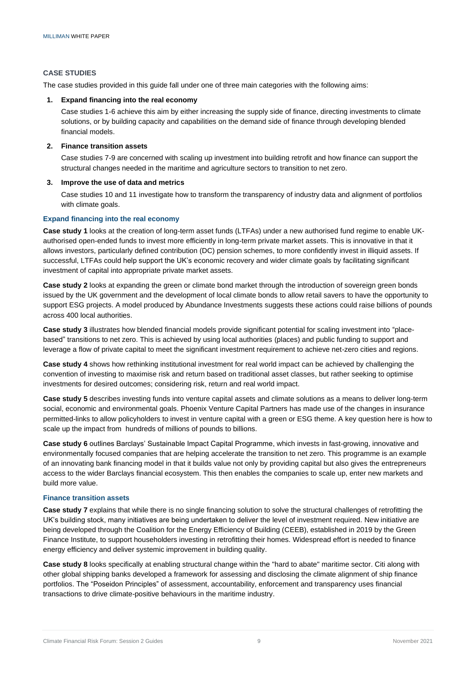# **CASE STUDIES**

The case studies provided in this guide fall under one of three main categories with the following aims:

# **1. Expand financing into the real economy**

Case studies 1-6 achieve this aim by either increasing the supply side of finance, directing investments to climate solutions, or by building capacity and capabilities on the demand side of finance through developing blended financial models.

# **2. Finance transition assets**

Case studies 7-9 are concerned with scaling up investment into building retrofit and how finance can support the structural changes needed in the maritime and agriculture sectors to transition to net zero.

### **3. Improve the use of data and metrics**

Case studies 10 and 11 investigate how to transform the transparency of industry data and alignment of portfolios with climate goals.

# **Expand financing into the real economy**

**Case study 1** looks at the creation of long-term asset funds (LTFAs) under a new authorised fund regime to enable UKauthorised open-ended funds to invest more efficiently in long-term private market assets. This is innovative in that it allows investors, particularly defined contribution (DC) pension schemes, to more confidently invest in illiquid assets. If successful, LTFAs could help support the UK's economic recovery and wider climate goals by facilitating significant investment of capital into appropriate private market assets.

**Case study 2** looks at expanding the green or climate bond market through the introduction of sovereign green bonds issued by the UK government and the development of local climate bonds to allow retail savers to have the opportunity to support ESG projects. A model produced by Abundance Investments suggests these actions could raise billions of pounds across 400 local authorities.

**Case study 3** illustrates how blended financial models provide significant potential for scaling investment into "placebased" transitions to net zero. This is achieved by using local authorities (places) and public funding to support and leverage a flow of private capital to meet the significant investment requirement to achieve net-zero cities and regions.

**Case study 4** shows how rethinking institutional investment for real world impact can be achieved by challenging the convention of investing to maximise risk and return based on traditional asset classes, but rather seeking to optimise investments for desired outcomes; considering risk, return and real world impact.

**Case study 5** describes investing funds into venture capital assets and climate solutions as a means to deliver long-term social, economic and environmental goals. Phoenix Venture Capital Partners has made use of the changes in insurance permitted-links to allow policyholders to invest in venture capital with a green or ESG theme. A key question here is how to scale up the impact from hundreds of millions of pounds to billions.

**Case study 6** outlines Barclays' Sustainable Impact Capital Programme, which invests in fast-growing, innovative and environmentally focused companies that are helping accelerate the transition to net zero. This programme is an example of an innovating bank financing model in that it builds value not only by providing capital but also gives the entrepreneurs access to the wider Barclays financial ecosystem. This then enables the companies to scale up, enter new markets and build more value.

#### **Finance transition assets**

**Case study 7** explains that while there is no single financing solution to solve the structural challenges of retrofitting the UK's building stock, many initiatives are being undertaken to deliver the level of investment required. New initiative are being developed through the Coalition for the Energy Efficiency of Building (CEEB), established in 2019 by the Green Finance Institute, to support householders investing in retrofitting their homes. Widespread effort is needed to finance energy efficiency and deliver systemic improvement in building quality.

**Case study 8** looks specifically at enabling structural change within the "hard to abate" maritime sector. Citi along with other global shipping banks developed a framework for assessing and disclosing the climate alignment of ship finance portfolios. The "Poseidon Principles" of assessment, accountability, enforcement and transparency uses financial transactions to drive climate-positive behaviours in the maritime industry.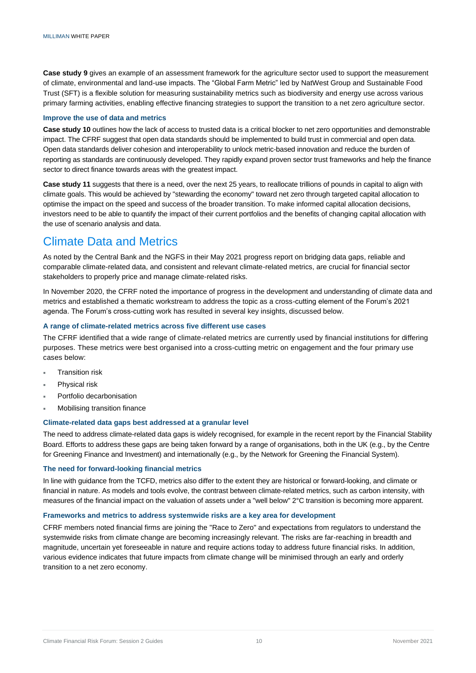**Case study 9** gives an example of an assessment framework for the agriculture sector used to support the measurement of climate, environmental and land-use impacts. The "Global Farm Metric" led by NatWest Group and Sustainable Food Trust (SFT) is a flexible solution for measuring sustainability metrics such as biodiversity and energy use across various primary farming activities, enabling effective financing strategies to support the transition to a net zero agriculture sector.

### **Improve the use of data and metrics**

**Case study 10** outlines how the lack of access to trusted data is a critical blocker to net zero opportunities and demonstrable impact. The CFRF suggest that open data standards should be implemented to build trust in commercial and open data. Open data standards deliver cohesion and interoperability to unlock metric-based innovation and reduce the burden of reporting as standards are continuously developed. They rapidly expand proven sector trust frameworks and help the finance sector to direct finance towards areas with the greatest impact.

**Case study 11** suggests that there is a need, over the next 25 years, to reallocate trillions of pounds in capital to align with climate goals. This would be achieved by "stewarding the economy" toward net zero through targeted capital allocation to optimise the impact on the speed and success of the broader transition. To make informed capital allocation decisions, investors need to be able to quantify the impact of their current portfolios and the benefits of changing capital allocation with the use of scenario analysis and data.

# Climate Data and Metrics

As noted by the Central Bank and the NGFS in their May 2021 progress report on bridging data gaps, reliable and comparable climate-related data, and consistent and relevant climate-related metrics, are crucial for financial sector stakeholders to properly price and manage climate-related risks.

In November 2020, the CFRF noted the importance of progress in the development and understanding of climate data and metrics and established a thematic workstream to address the topic as a cross-cutting element of the Forum's 2021 agenda. The Forum's cross-cutting work has resulted in several key insights, discussed below.

# **A range of climate-related metrics across five different use cases**

The CFRF identified that a wide range of climate-related metrics are currently used by financial institutions for differing purposes. These metrics were best organised into a cross-cutting metric on engagement and the four primary use cases below:

- Transition risk
- Physical risk
- Portfolio decarbonisation
- Mobilising transition finance

# **Climate-related data gaps best addressed at a granular level**

The need to address climate-related data gaps is widely recognised, for example in the recent report by the Financial Stability Board. Efforts to address these gaps are being taken forward by a range of organisations, both in the UK (e.g., by the Centre for Greening Finance and Investment) and internationally (e.g., by the Network for Greening the Financial System).

# **The need for forward-looking financial metrics**

In line with guidance from the TCFD, metrics also differ to the extent they are historical or forward-looking, and climate or financial in nature. As models and tools evolve, the contrast between climate-related metrics, such as carbon intensity, with measures of the financial impact on the valuation of assets under a "well below" 2°C transition is becoming more apparent.

# **Frameworks and metrics to address systemwide risks are a key area for development**

CFRF members noted financial firms are joining the "Race to Zero" and expectations from regulators to understand the systemwide risks from climate change are becoming increasingly relevant. The risks are far-reaching in breadth and magnitude, uncertain yet foreseeable in nature and require actions today to address future financial risks. In addition, various evidence indicates that future impacts from climate change will be minimised through an early and orderly transition to a net zero economy.